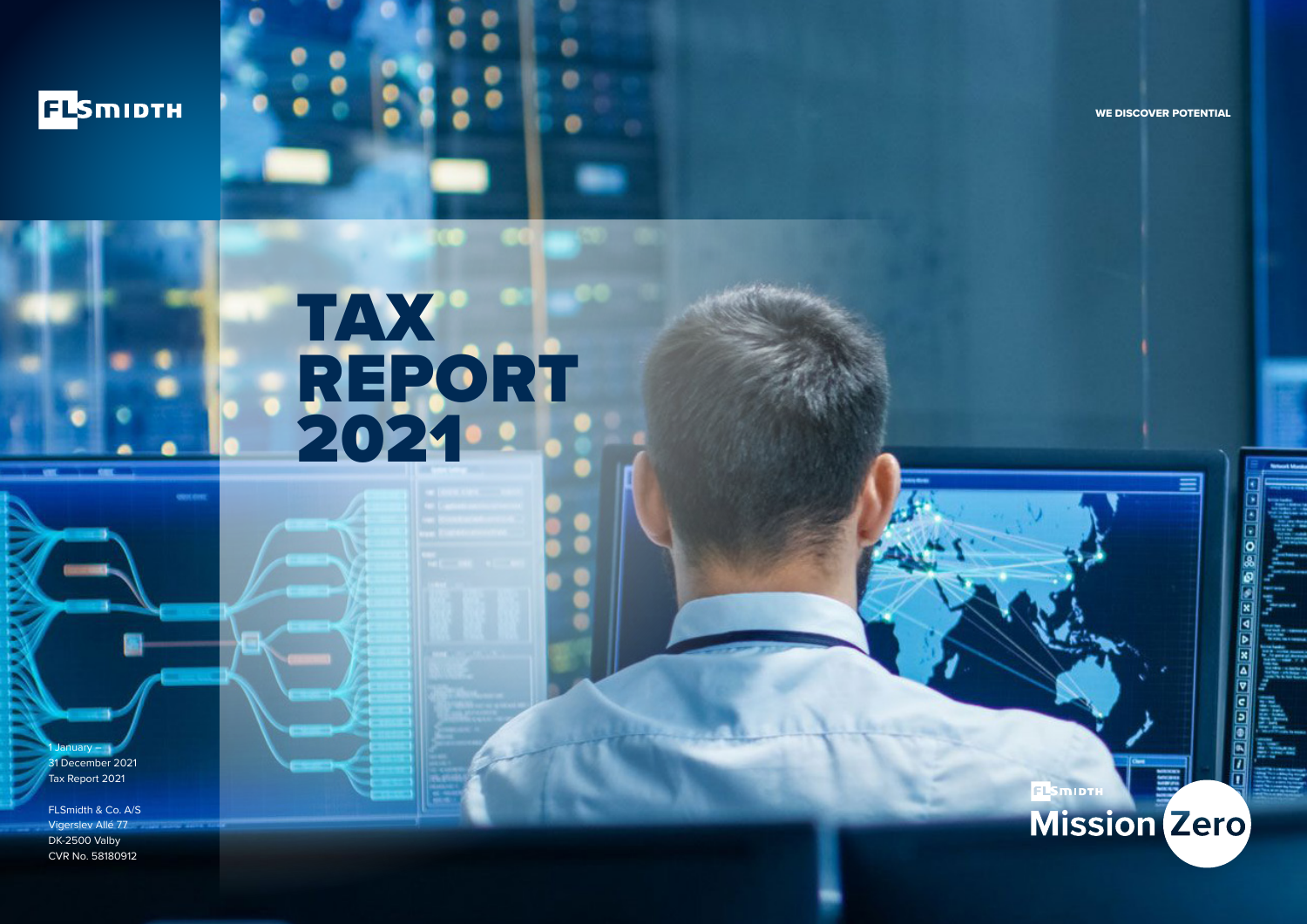

WE DISCOVER POTENTIAL

# TAX REPORT 2021

 $nu - 1$ 31 December 2021 Tax Report 2021

FLSmidth & Co. A/S Vigerslev Allé 77 DK-2500 Valby CVR No. 58180912

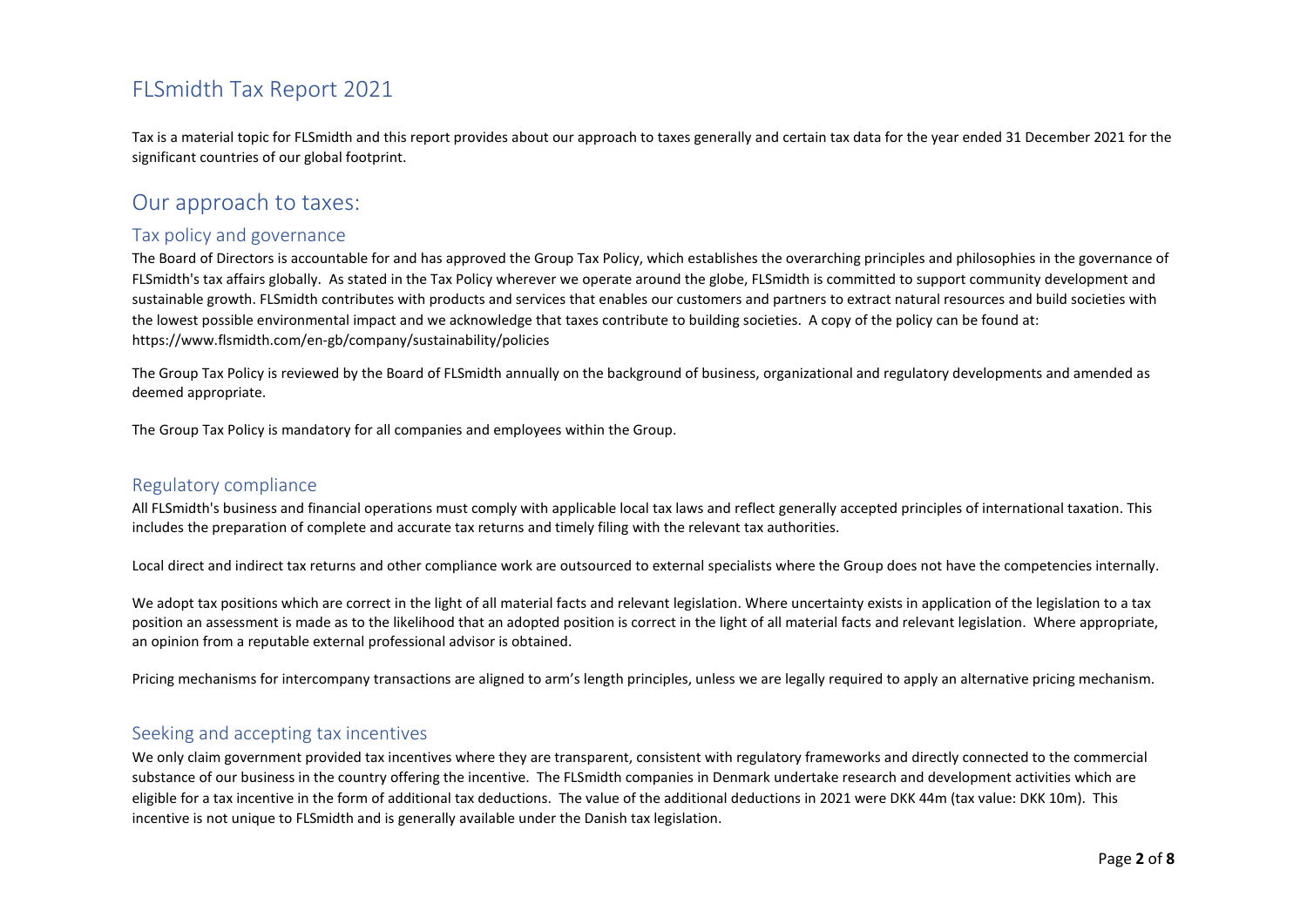Tax is a material topic for FLSmidth and this report provides about our approach to taxes generally and certain tax data for the year ended 31 December 2021 for the significant countries of our global footprint.

## Our approach to taxes:

## Tax policy and governance

The Board of Directors is accountable for and has approved the Group Tax Policy, which establishes the overarching principles and philosophies in the governance of FLSmidth's tax affairs globally. As stated in the Tax Policy wherever we operate around the globe, FLSmidth is committed to support community development and sustainable growth. FLSmidth contributes with products and services that enables our customers and partners to extract natural resources and build societies with the lowest possible environmental impact and we acknowledge that taxes contribute to building societies. A copy of the policy can be found at: https://www.flsmidth.com/en-gb/company/sustainability/policies

The Group Tax Policy is reviewed by the Board of FLSmidth annually on the background of business, organizational and regulatory developments and amended as deemed appropriate.

The Group Tax Policy is mandatory for all companies and employees within the Group.

#### Regulatory compliance

All FLSmidth's business and financial operations must comply with applicable local tax laws and reflect generally accepted principles of international taxation. This includes the preparation of complete and accurate tax returns and timely filing with the relevant tax authorities.

Local direct and indirect tax returns and other compliance work are outsourced to external specialists where the Group does not have the competencies internally.

We adopt tax positions which are correct in the light of all material facts and relevant legislation. Where uncertainty exists in application of the legislation to a tax position an assessment is made as to the likelihood that an adopted position is correct in the light of all material facts and relevant legislation. Where appropriate, an opinion from a reputable external professional advisor is obtained.

Pricing mechanisms for intercompany transactions are aligned to arm's length principles, unless we are legally required to apply an alternative pricing mechanism.

## Seeking and accepting tax incentives

We only claim government provided tax incentives where they are transparent, consistent with regulatory frameworks and directly connected to the commercial substance of our business in the country offering the incentive. The FLSmidth companies in Denmark undertake research and development activities which are eligible for a tax incentive in the form of additional tax deductions. The value of the additional deductions in 2021 were DKK 44m (tax value: DKK 10m). This incentive is not unique to FLSmidth and is generally available under the Danish tax legislation.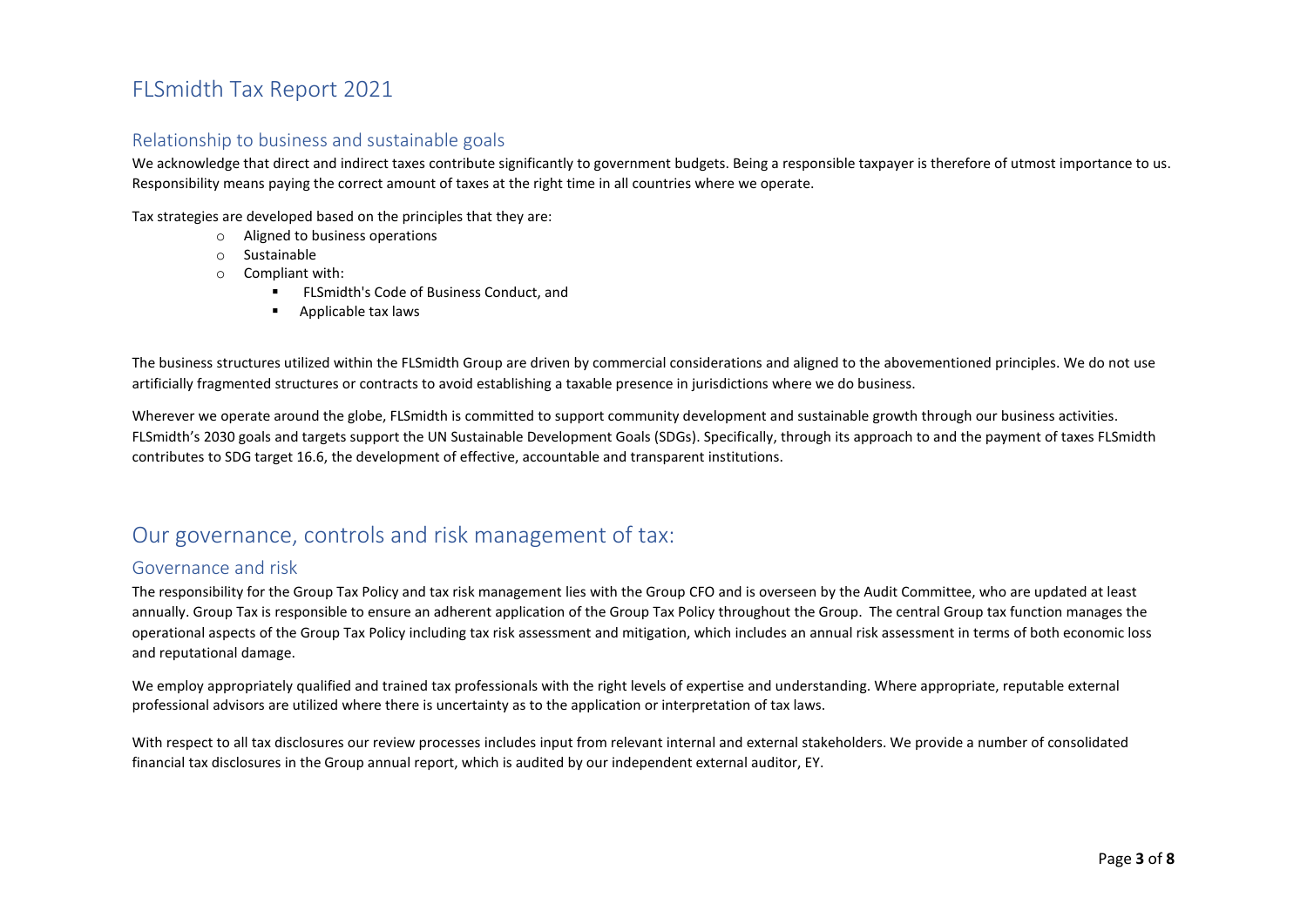## Relationship to business and sustainable goals

We acknowledge that direct and indirect taxes contribute significantly to government budgets. Being a responsible taxpayer is therefore of utmost importance to us. Responsibility means paying the correct amount of taxes at the right time in all countries where we operate.

Tax strategies are developed based on the principles that they are:

- o Aligned to business operations
- o Sustainable
- o Compliant with:
	- **FLSmidth's Code of Business Conduct, and**
	- **Applicable tax laws**

The business structures utilized within the FLSmidth Group are driven by commercial considerations and aligned to the abovementioned principles. We do not use artificially fragmented structures or contracts to avoid establishing a taxable presence in jurisdictions where we do business.

Wherever we operate around the globe. FLSmidth is committed to support community development and sustainable growth through our business activities. FLSmidth's 2030 goals and targets support the UN Sustainable Development Goals (SDGs). Specifically, through its approach to and the payment of taxes FLSmidth contributes to SDG target 16.6, the development of effective, accountable and transparent institutions.

## Our governance, controls and risk management of tax:

#### Governance and risk

The responsibility for the Group Tax Policy and tax risk management lies with the Group CFO and is overseen by the Audit Committee, who are updated at least annually. Group Tax is responsible to ensure an adherent application of the Group Tax Policy throughout the Group. The central Group tax function manages the operational aspects of the Group Tax Policy including tax risk assessment and mitigation, which includes an annual risk assessment in terms of both economic loss and reputational damage.

We employ appropriately qualified and trained tax professionals with the right levels of expertise and understanding. Where appropriate, reputable external professional advisors are utilized where there is uncertainty as to the application or interpretation of tax laws.

With respect to all tax disclosures our review processes includes input from relevant internal and external stakeholders. We provide a number of consolidated financial tax disclosures in the Group annual report, which is audited by our independent external auditor, EY.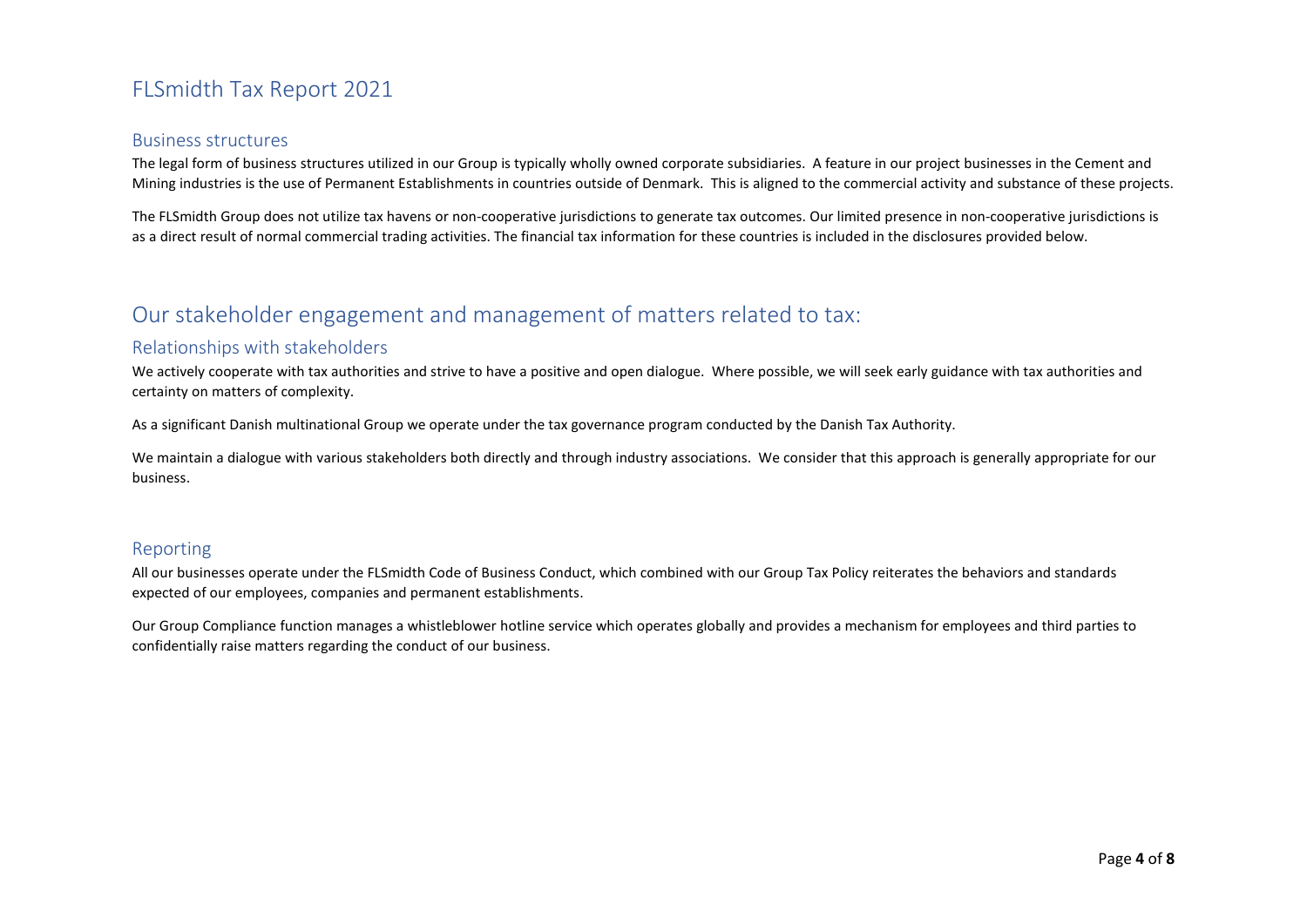#### Business structures

The legal form of business structures utilized in our Group is typically wholly owned corporate subsidiaries. A feature in our project businesses in the Cement and Mining industries is the use of Permanent Establishments in countries outside of Denmark. This is aligned to the commercial activity and substance of these projects.

The FLSmidth Group does not utilize tax havens or non-cooperative jurisdictions to generate tax outcomes. Our limited presence in non-cooperative jurisdictions is as a direct result of normal commercial trading activities. The financial tax information for these countries is included in the disclosures provided below.

## Our stakeholder engagement and management of matters related to tax:

## Relationships with stakeholders

We actively cooperate with tax authorities and strive to have a positive and open dialogue. Where possible, we will seek early guidance with tax authorities and certainty on matters of complexity.

As a significant Danish multinational Group we operate under the tax governance program conducted by the Danish Tax Authority.

We maintain a dialogue with various stakeholders both directly and through industry associations. We consider that this approach is generally appropriate for our business.

## Reporting

All our businesses operate under the FLSmidth Code of Business Conduct, which combined with our Group Tax Policy reiterates the behaviors and standards expected of our employees, companies and permanent establishments.

Our Group Compliance function manages a whistleblower hotline service which operates globally and provides a mechanism for employees and third parties toconfidentially raise matters regarding the conduct of our business.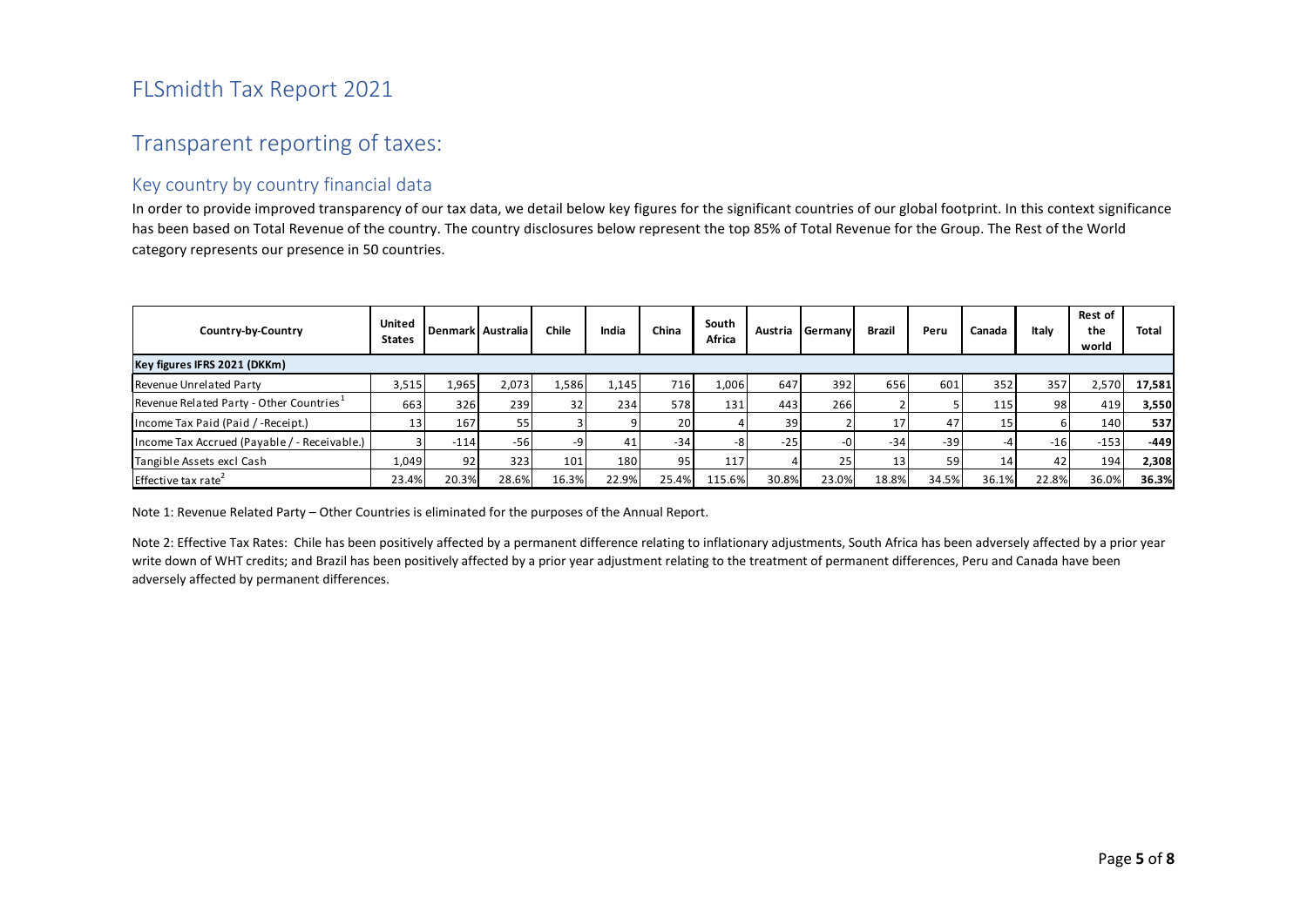# Transparent reporting of taxes:

## Key country by country financial data

In order to provide improved transparency of our tax data, we detail below key figures for the significant countries of our global footprint. In this context significance has been based on Total Revenue of the country. The country disclosures below represent the top 85% of Total Revenue for the Group. The Rest of the Worldcategory represents our presence in 50 countries.

| Country-by-Country                           | United<br><b>States</b> |        | Denmark Australia | <b>Chile</b>    | India | China | South<br>Africa | Austria | Germany | Brazil | Peru  | Canada | Italv | Rest of<br>the<br>world | <b>Total</b> |
|----------------------------------------------|-------------------------|--------|-------------------|-----------------|-------|-------|-----------------|---------|---------|--------|-------|--------|-------|-------------------------|--------------|
| Key figures IFRS 2021 (DKKm)                 |                         |        |                   |                 |       |       |                 |         |         |        |       |        |       |                         |              |
| Revenue Unrelated Party                      | 3,515                   | 1,965  | 2,073             | 1,586           | 1,145 | 716   | 1.006           | 647     | 392     | 656    | 601   | 352    | 357   | 2,570                   | 17,581       |
| Revenue Related Party - Other Countries      | 663                     | 326    | 239               | 32 <sup>1</sup> | 234   | 578   | 131             | 443     | 266     |        |       | 115    | 98)   | 419                     | 3,550        |
| Income Tax Paid (Paid / -Receipt.)           | 13                      | 167    | 55                |                 |       | 20    |                 | 39      |         | 17     | 47    | 15     | b     | 140                     | 537          |
| Income Tax Accrued (Payable / - Receivable.) |                         | $-114$ | $-56$             | $-9$            | 41    | $-34$ |                 | $-25$   |         | $-34$  | $-39$ |        | $-16$ | $-153$                  | $-449$       |
| Tangible Assets excl Cash                    | 1,049                   | 92     | 323               | 101             | 180   | 95    | 117             |         | 25      | 13     | 59    | 14     | 42    | 194                     | 2,308        |
| Effective tax rate <sup>-</sup>              | 23.4%                   | 20.3%  | 28.6%             | 16.3%           | 22.9% | 25.4% | 115.6%          | 30.8%   | 23.0%   | 18.8%  | 34.5% | 36.1%  | 22.8% | 36.0%                   | 36.3%        |

Note 1: Revenue Related Party – Other Countries is eliminated for the purposes of the Annual Report.

Note 2: Effective Tax Rates: Chile has been positively affected by a permanent difference relating to inflationary adjustments, South Africa has been adversely affected by a prior year write down of WHT credits; and Brazil has been positively affected by a prior year adjustment relating to the treatment of permanent differences, Peru and Canada have been adversely affected by permanent differences.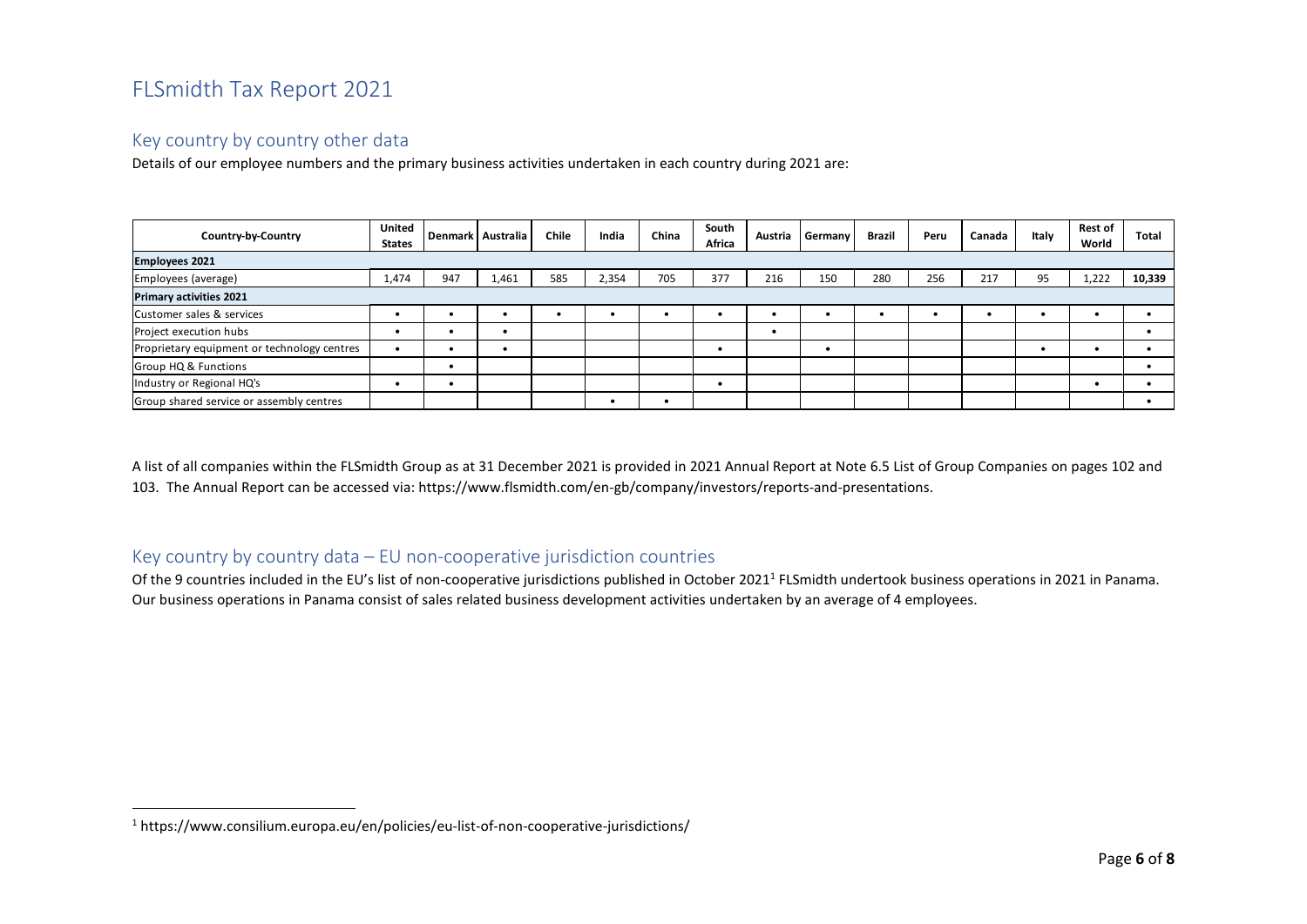## Key country by country other data

Details of our employee numbers and the primary business activities undertaken in each country during 2021 are:

| Country-by-Country                          | United<br><b>States</b> |     | Denmark Australia | <b>Chile</b> | India | China | South<br>Africa | Austria | Germany | <b>Brazil</b> | Peru | Canada | Italy | <b>Rest of</b><br>World | Total  |
|---------------------------------------------|-------------------------|-----|-------------------|--------------|-------|-------|-----------------|---------|---------|---------------|------|--------|-------|-------------------------|--------|
| <b>Employees 2021</b>                       |                         |     |                   |              |       |       |                 |         |         |               |      |        |       |                         |        |
| Employees (average)                         | 1,474                   | 947 | 1,461             | 585          | 2,354 | 705   | 377             | 216     | 150     | 280           | 256  | 217    | 95    | .222                    | 10,339 |
| <b>Primary activities 2021</b>              |                         |     |                   |              |       |       |                 |         |         |               |      |        |       |                         |        |
| Customer sales & services                   |                         |     |                   |              | ٠     |       |                 |         |         |               |      |        |       |                         |        |
| Project execution hubs                      |                         |     |                   |              |       |       |                 |         |         |               |      |        |       |                         |        |
| Proprietary equipment or technology centres |                         |     |                   |              |       |       |                 |         |         |               |      |        |       |                         |        |
| <b>Group HQ &amp; Functions</b>             |                         |     |                   |              |       |       |                 |         |         |               |      |        |       |                         |        |
| Industry or Regional HQ's                   |                         |     |                   |              |       |       |                 |         |         |               |      |        |       |                         |        |
| Group shared service or assembly centres    |                         |     |                   |              |       |       |                 |         |         |               |      |        |       |                         |        |

A list of all companies within the FLSmidth Group as at 31 December 2021 is provided in 2021 Annual Report at Note 6.5 List of Group Companies on pages 102 and 103. The Annual Report can be accessed via: https://www.flsmidth.com/en-gb/company/investors/reports-and-presentations.

## Key country by country data – EU non-cooperative jurisdiction countries

Of the 9 countries included in the EU's list of non-cooperative jurisdictions published in October 2021<sup>1</sup> FLSmidth undertook business operations in 2021 in Panama. Our business operations in Panama consist of sales related business development activities undertaken by an average of 4 employees.

<sup>1</sup> https://www.consilium.europa.eu/en/policies/eu-list-of-non-cooperative-jurisdictions/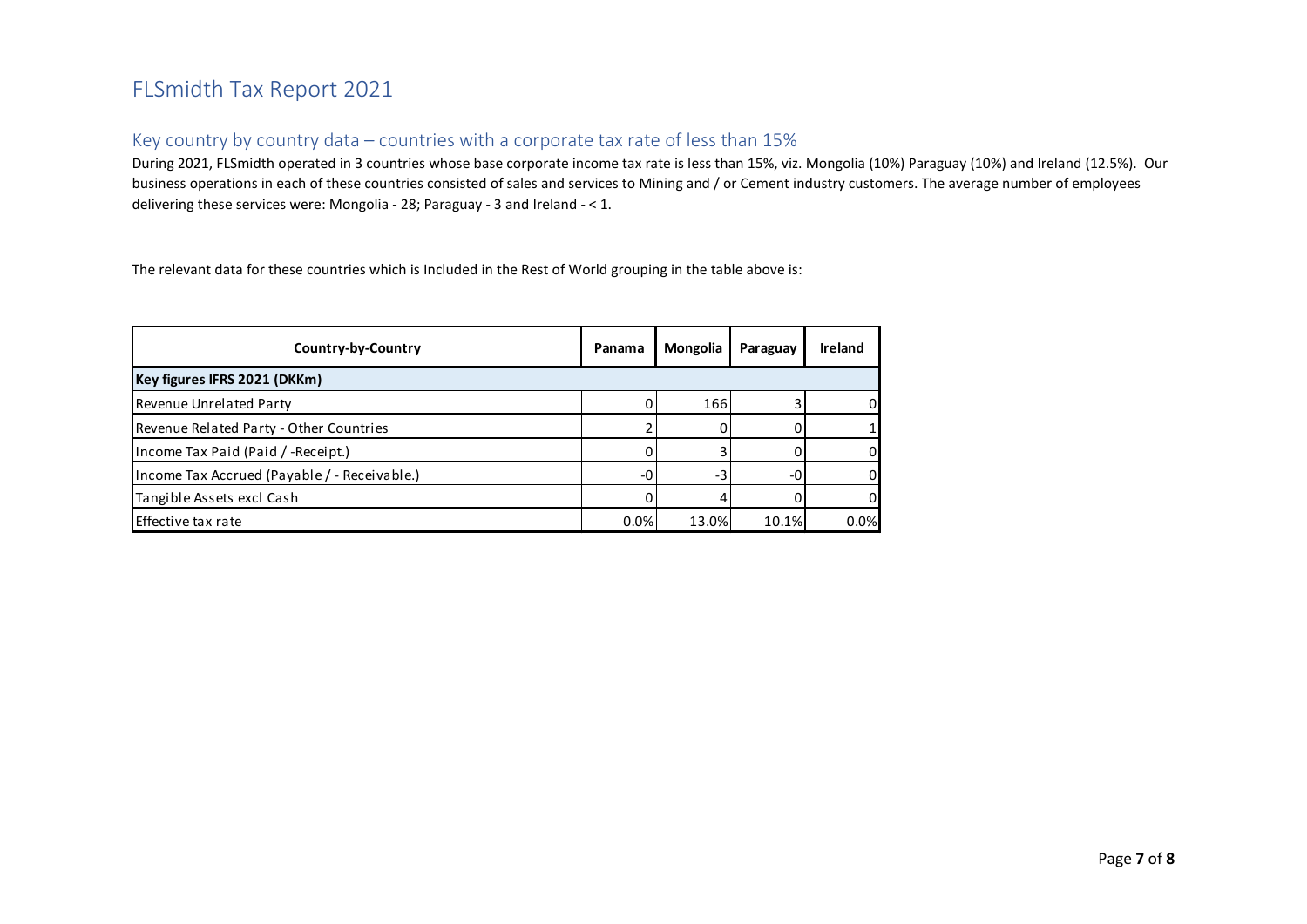## Key country by country data – countries with a corporate tax rate of less than 15%

During 2021, FLSmidth operated in 3 countries whose base corporate income tax rate is less than 15%, viz. Mongolia (10%) Paraguay (10%) and Ireland (12.5%). Our business operations in each of these countries consisted of sales and services to Mining and / or Cement industry customers. The average number of employees delivering these services were: Mongolia - 28; Paraguay - 3 and Ireland - < 1.

The relevant data for these countries which is Included in the Rest of World grouping in the table above is:

| Country-by-Country                           | Panama | Mongolia | Paraguay | <b>Ireland</b> |  |  |  |  |  |  |
|----------------------------------------------|--------|----------|----------|----------------|--|--|--|--|--|--|
| Key figures IFRS 2021 (DKKm)                 |        |          |          |                |  |  |  |  |  |  |
| Revenue Unrelated Party                      |        | 166      |          |                |  |  |  |  |  |  |
| Revenue Related Party - Other Countries      |        |          |          |                |  |  |  |  |  |  |
| Income Tax Paid (Paid / -Receipt.)           |        |          |          |                |  |  |  |  |  |  |
| Income Tax Accrued (Payable / - Receivable.) | -0     | -3       | -0       |                |  |  |  |  |  |  |
| Tangible Assets excl Cash                    |        |          |          |                |  |  |  |  |  |  |
| l Effective tax rate                         | 0.0%   | 13.0%    | 10.1%    | 0.0%           |  |  |  |  |  |  |